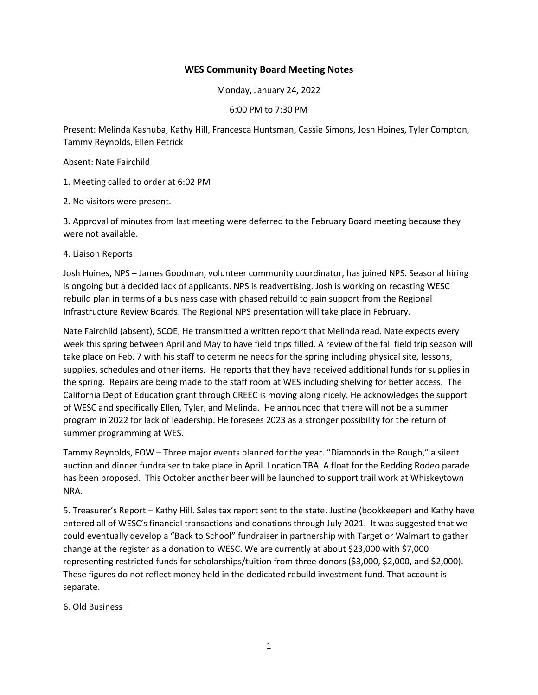## **WES Community Board Meeting Notes**

Monday, January 24, 2022

6:00 PM to 7:30 PM

Present: Melinda Kashuba, Kathy Hill, Francesca Huntsman, Cassie Simons, Josh Hoines, Tyler Compton, Tammy Reynolds, Ellen Petrick

Absent: Nate Fairchild

1. Meeting called to order at 6:02 PM

2. No visitors were present.

3. Approval of minutes from last meeting were deferred to the February Board meeting because they were not available.

4. Liaison Reports:

Josh Hoines, NPS – James Goodman, volunteer community coordinator, has joined NPS. Seasonal hiring is ongoing but a decided lack of applicants. NPS is readvertising. Josh is working on recasting WESC rebuild plan in terms of a business case with phased rebuild to gain support from the Regional Infrastructure Review Boards. The Regional NPS presentation will take place in February.

Nate Fairchild (absent), SCOE, He transmitted a written report that Melinda read. Nate expects every week this spring between April and May to have field trips filled. A review of the fall field trip season will take place on Feb. 7 with his staff to determine needs for the spring including physical site, lessons, supplies, schedules and other items. He reports that they have received additional funds for supplies in the spring. Repairs are being made to the staff room at WES including shelving for better access. The California Dept of Education grant through CREEC is moving along nicely. He acknowledges the support of WESC and specifically Ellen, Tyler, and Melinda. He announced that there will not be a summer program in 2022 for lack of leadership. He foresees 2023 as a stronger possibility for the return of summer programming at WES.

Tammy Reynolds, FOW – Three major events planned for the year. "Diamonds in the Rough," a silent auction and dinner fundraiser to take place in April. Location TBA. A float for the Redding Rodeo parade has been proposed. This October another beer will be launched to support trail work at Whiskeytown NRA.

5. Treasurer's Report – Kathy Hill. Sales tax report sent to the state. Justine (bookkeeper) and Kathy have entered all of WESC's financial transactions and donations through July 2021. It was suggested that we could eventually develop a "Back to School" fundraiser in partnership with Target or Walmart to gather change at the register as a donation to WESC. We are currently at about \$23,000 with \$7,000 representing restricted funds for scholarships/tuition from three donors (\$3,000, \$2,000, and \$2,000). These figures do not reflect money held in the dedicated rebuild investment fund. That account is separate.

6. Old Business –